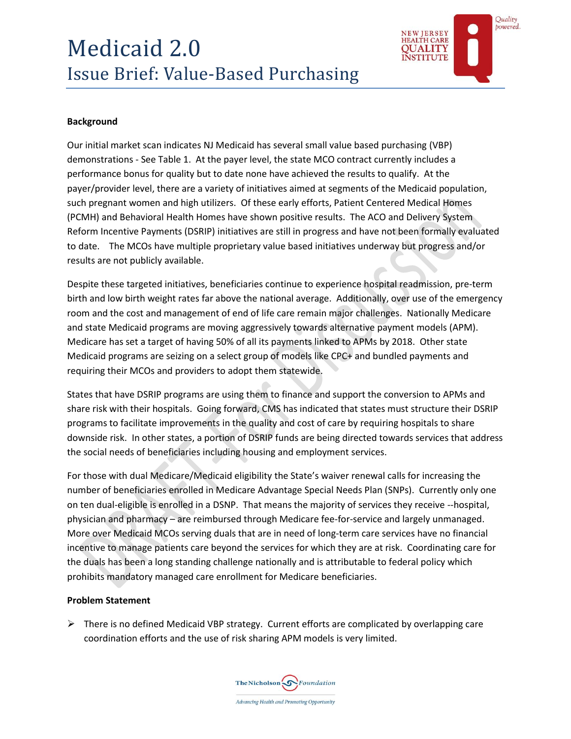# Medicaid 2.0 Issue Brief: Value-Based Purchasing



# **Background**

Our initial market scan indicates NJ Medicaid has several small value based purchasing (VBP) demonstrations - See Table 1. At the payer level, the state MCO contract currently includes a performance bonus for quality but to date none have achieved the results to qualify. At the payer/provider level, there are a variety of initiatives aimed at segments of the Medicaid population, such pregnant women and high utilizers. Of these early efforts, Patient Centered Medical Homes (PCMH) and Behavioral Health Homes have shown positive results. The ACO and Delivery System Reform Incentive Payments (DSRIP) initiatives are still in progress and have not been formally evaluated to date. The MCOs have multiple proprietary value based initiatives underway but progress and/or results are not publicly available.

Despite these targeted initiatives, beneficiaries continue to experience hospital readmission, pre-term birth and low birth weight rates far above the national average. Additionally, over use of the emergency room and the cost and management of end of life care remain major challenges. Nationally Medicare and state Medicaid programs are moving aggressively towards alternative payment models (APM). Medicare has set a target of having 50% of all its payments linked to APMs by 2018. Other state Medicaid programs are seizing on a select group of models like CPC+ and bundled payments and requiring their MCOs and providers to adopt them statewide.

States that have DSRIP programs are using them to finance and support the conversion to APMs and share risk with their hospitals. Going forward, CMS has indicated that states must structure their DSRIP programs to facilitate improvements in the quality and cost of care by requiring hospitals to share downside risk. In other states, a portion of DSRIP funds are being directed towards services that address the social needs of beneficiaries including housing and employment services.

For those with dual Medicare/Medicaid eligibility the State's waiver renewal calls for increasing the number of beneficiaries enrolled in Medicare Advantage Special Needs Plan (SNPs). Currently only one on ten dual-eligible is enrolled in a DSNP. That means the majority of services they receive --hospital, physician and pharmacy – are reimbursed through Medicare fee-for-service and largely unmanaged. More over Medicaid MCOs serving duals that are in need of long-term care services have no financial incentive to manage patients care beyond the services for which they are at risk. Coordinating care for the duals has been a long standing challenge nationally and is attributable to federal policy which prohibits mandatory managed care enrollment for Medicare beneficiaries.

## **Problem Statement**

 $\triangleright$  There is no defined Medicaid VBP strategy. Current efforts are complicated by overlapping care coordination efforts and the use of risk sharing APM models is very limited.

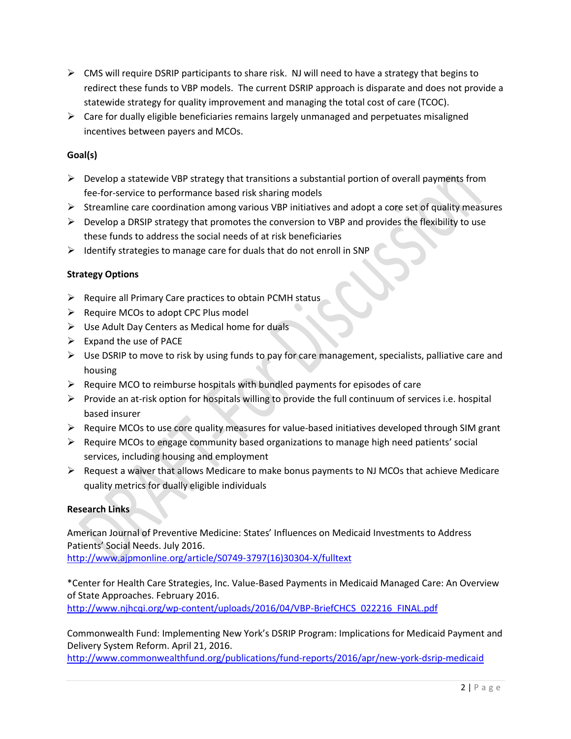- $\triangleright$  CMS will require DSRIP participants to share risk. NJ will need to have a strategy that begins to redirect these funds to VBP models. The current DSRIP approach is disparate and does not provide a statewide strategy for quality improvement and managing the total cost of care (TCOC).
- $\triangleright$  Care for dually eligible beneficiaries remains largely unmanaged and perpetuates misaligned incentives between payers and MCOs.

# **Goal(s)**

- $\triangleright$  Develop a statewide VBP strategy that transitions a substantial portion of overall payments from fee-for-service to performance based risk sharing models
- $\triangleright$  Streamline care coordination among various VBP initiatives and adopt a core set of quality measures
- $\triangleright$  Develop a DRSIP strategy that promotes the conversion to VBP and provides the flexibility to use these funds to address the social needs of at risk beneficiaries
- $\triangleright$  Identify strategies to manage care for duals that do not enroll in SNP

## **Strategy Options**

- $\triangleright$  Require all Primary Care practices to obtain PCMH status
- $\triangleright$  Require MCOs to adopt CPC Plus model
- $\triangleright$  Use Adult Day Centers as Medical home for duals
- $\triangleright$  Expand the use of PACE
- $\triangleright$  Use DSRIP to move to risk by using funds to pay for care management, specialists, palliative care and housing
- $\triangleright$  Require MCO to reimburse hospitals with bundled payments for episodes of care
- $\triangleright$  Provide an at-risk option for hospitals willing to provide the full continuum of services i.e. hospital based insurer
- $\triangleright$  Require MCOs to use core quality measures for value-based initiatives developed through SIM grant
- $\triangleright$  Require MCOs to engage community based organizations to manage high need patients' social services, including housing and employment
- $\triangleright$  Request a waiver that allows Medicare to make bonus payments to NJ MCOs that achieve Medicare quality metrics for dually eligible individuals

## **Research Links**

American Journal of Preventive Medicine: States' Influences on Medicaid Investments to Address Patients' Social Needs. July 2016.

[http://www.ajpmonline.org/article/S0749-3797\(16\)30304-X/fulltext](http://www.ajpmonline.org/article/S0749-3797(16)30304-X/fulltext)

\*Center for Health Care Strategies, Inc. Value-Based Payments in Medicaid Managed Care: An Overview of State Approaches. February 2016. [http://www.njhcqi.org/wp-content/uploads/2016/04/VBP-BriefCHCS\\_022216\\_FINAL.pdf](http://www.njhcqi.org/wp-content/uploads/2016/04/VBP-BriefCHCS_022216_FINAL.pdf)

Commonwealth Fund: Implementing New York's DSRIP Program: Implications for Medicaid Payment and Delivery System Reform. April 21, 2016.

<http://www.commonwealthfund.org/publications/fund-reports/2016/apr/new-york-dsrip-medicaid>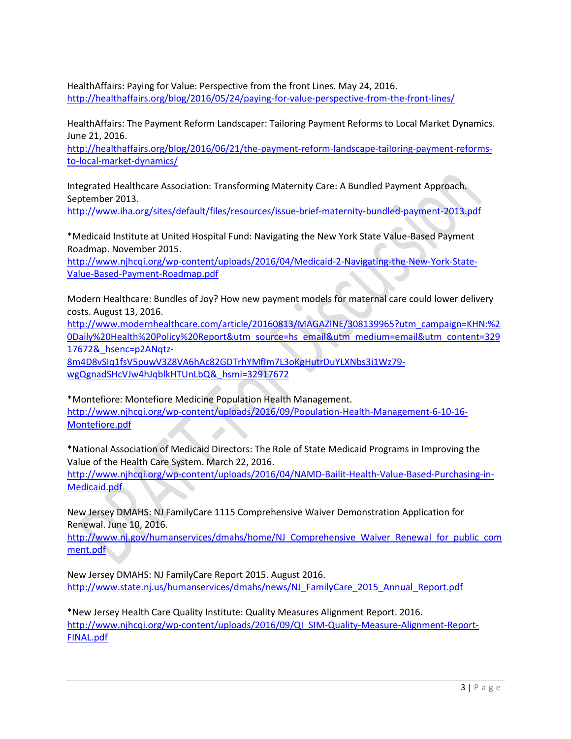HealthAffairs: Paying for Value: Perspective from the front Lines. May 24, 2016. <http://healthaffairs.org/blog/2016/05/24/paying-for-value-perspective-from-the-front-lines/>

HealthAffairs: The Payment Reform Landscaper: Tailoring Payment Reforms to Local Market Dynamics. June 21, 2016.

[http://healthaffairs.org/blog/2016/06/21/the-payment-reform-landscape-tailoring-payment-reforms](http://healthaffairs.org/blog/2016/06/21/the-payment-reform-landscape-tailoring-payment-reforms-to-local-market-dynamics/)[to-local-market-dynamics/](http://healthaffairs.org/blog/2016/06/21/the-payment-reform-landscape-tailoring-payment-reforms-to-local-market-dynamics/)

Integrated Healthcare Association: Transforming Maternity Care: A Bundled Payment Approach. September 2013.

<http://www.iha.org/sites/default/files/resources/issue-brief-maternity-bundled-payment-2013.pdf>

\*Medicaid Institute at United Hospital Fund: Navigating the New York State Value-Based Payment Roadmap. November 2015.

[http://www.njhcqi.org/wp-content/uploads/2016/04/Medicaid-2-Navigating-the-New-York-State-](http://www.njhcqi.org/wp-content/uploads/2016/04/Medicaid-2-Navigating-the-New-York-State-Value-Based-Payment-Roadmap.pdf)[Value-Based-Payment-Roadmap.pdf](http://www.njhcqi.org/wp-content/uploads/2016/04/Medicaid-2-Navigating-the-New-York-State-Value-Based-Payment-Roadmap.pdf)

Modern Healthcare: Bundles of Joy? How new payment models for maternal care could lower delivery costs. August 13, 2016.

[http://www.modernhealthcare.com/article/20160813/MAGAZINE/308139965?utm\\_campaign=KHN:%2](http://www.modernhealthcare.com/article/20160813/MAGAZINE/308139965?utm_campaign=KHN:%20Daily%20Health%20Policy%20Report&utm_source=hs_email&utm_medium=email&utm_content=32917672&_hsenc=p2ANqtz-8m4D8vSIq1fsV5puwV3Z8VA6hAc82GDTrhYMfIm7L3oKgHutrDuYLXNbs3i1Wz79-wgQgnadSHcVJw4hJqblkHTUnLbQ&_hsmi=32917672) [0Daily%20Health%20Policy%20Report&utm\\_source=hs\\_email&utm\\_medium=email&utm\\_content=329](http://www.modernhealthcare.com/article/20160813/MAGAZINE/308139965?utm_campaign=KHN:%20Daily%20Health%20Policy%20Report&utm_source=hs_email&utm_medium=email&utm_content=32917672&_hsenc=p2ANqtz-8m4D8vSIq1fsV5puwV3Z8VA6hAc82GDTrhYMfIm7L3oKgHutrDuYLXNbs3i1Wz79-wgQgnadSHcVJw4hJqblkHTUnLbQ&_hsmi=32917672) [17672&\\_hsenc=p2ANqtz-](http://www.modernhealthcare.com/article/20160813/MAGAZINE/308139965?utm_campaign=KHN:%20Daily%20Health%20Policy%20Report&utm_source=hs_email&utm_medium=email&utm_content=32917672&_hsenc=p2ANqtz-8m4D8vSIq1fsV5puwV3Z8VA6hAc82GDTrhYMfIm7L3oKgHutrDuYLXNbs3i1Wz79-wgQgnadSHcVJw4hJqblkHTUnLbQ&_hsmi=32917672)

[8m4D8vSIq1fsV5puwV3Z8VA6hAc82GDTrhYMfIm7L3oKgHutrDuYLXNbs3i1Wz79](http://www.modernhealthcare.com/article/20160813/MAGAZINE/308139965?utm_campaign=KHN:%20Daily%20Health%20Policy%20Report&utm_source=hs_email&utm_medium=email&utm_content=32917672&_hsenc=p2ANqtz-8m4D8vSIq1fsV5puwV3Z8VA6hAc82GDTrhYMfIm7L3oKgHutrDuYLXNbs3i1Wz79-wgQgnadSHcVJw4hJqblkHTUnLbQ&_hsmi=32917672) [wgQgnadSHcVJw4hJqblkHTUnLbQ&\\_hsmi=32917672](http://www.modernhealthcare.com/article/20160813/MAGAZINE/308139965?utm_campaign=KHN:%20Daily%20Health%20Policy%20Report&utm_source=hs_email&utm_medium=email&utm_content=32917672&_hsenc=p2ANqtz-8m4D8vSIq1fsV5puwV3Z8VA6hAc82GDTrhYMfIm7L3oKgHutrDuYLXNbs3i1Wz79-wgQgnadSHcVJw4hJqblkHTUnLbQ&_hsmi=32917672)

\*Montefiore: Montefiore Medicine Population Health Management. [http://www.njhcqi.org/wp-content/uploads/2016/09/Population-Health-Management-6-10-16-](http://www.njhcqi.org/wp-content/uploads/2016/09/Population-Health-Management-6-10-16-Montefiore.pdf) [Montefiore.pdf](http://www.njhcqi.org/wp-content/uploads/2016/09/Population-Health-Management-6-10-16-Montefiore.pdf)

\*National Association of Medicaid Directors: The Role of State Medicaid Programs in Improving the Value of the Health Care System. March 22, 2016.

[http://www.njhcqi.org/wp-content/uploads/2016/04/NAMD-Bailit-Health-Value-Based-Purchasing-in-](http://www.njhcqi.org/wp-content/uploads/2016/04/NAMD-Bailit-Health-Value-Based-Purchasing-in-Medicaid.pdf)[Medicaid.pdf](http://www.njhcqi.org/wp-content/uploads/2016/04/NAMD-Bailit-Health-Value-Based-Purchasing-in-Medicaid.pdf)

New Jersey DMAHS: NJ FamilyCare 1115 Comprehensive Waiver Demonstration Application for Renewal. June 10, 2016.

[http://www.nj.gov/humanservices/dmahs/home/NJ\\_Comprehensive\\_Waiver\\_Renewal\\_for\\_public\\_com](http://www.nj.gov/humanservices/dmahs/home/NJ_Comprehensive_Waiver_Renewal_for_public_comment.pdf) [ment.pdf](http://www.nj.gov/humanservices/dmahs/home/NJ_Comprehensive_Waiver_Renewal_for_public_comment.pdf)

New Jersey DMAHS: NJ FamilyCare Report 2015. August 2016. [http://www.state.nj.us/humanservices/dmahs/news/NJ\\_FamilyCare\\_2015\\_Annual\\_Report.pdf](http://www.state.nj.us/humanservices/dmahs/news/NJ_FamilyCare_2015_Annual_Report.pdf)

\*New Jersey Health Care Quality Institute: Quality Measures Alignment Report. 2016. [http://www.njhcqi.org/wp-content/uploads/2016/09/QI\\_SIM-Quality-Measure-Alignment-Report-](http://www.njhcqi.org/wp-content/uploads/2016/09/QI_SIM-Quality-Measure-Alignment-Report-FINAL.pdf)[FINAL.pdf](http://www.njhcqi.org/wp-content/uploads/2016/09/QI_SIM-Quality-Measure-Alignment-Report-FINAL.pdf)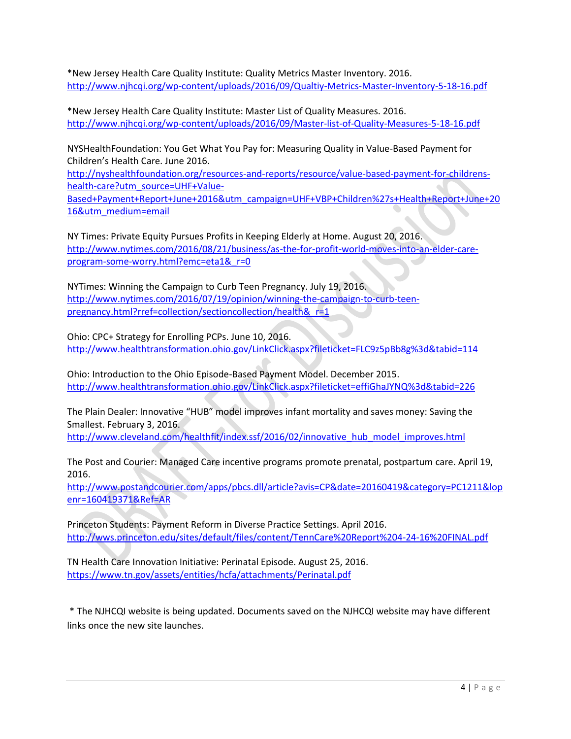\*New Jersey Health Care Quality Institute: Quality Metrics Master Inventory. 2016. <http://www.njhcqi.org/wp-content/uploads/2016/09/Qualtiy-Metrics-Master-Inventory-5-18-16.pdf>

\*New Jersey Health Care Quality Institute: Master List of Quality Measures. 2016. <http://www.njhcqi.org/wp-content/uploads/2016/09/Master-list-of-Quality-Measures-5-18-16.pdf>

NYSHealthFoundation: You Get What You Pay for: Measuring Quality in Value-Based Payment for Children's Health Care. June 2016.

[http://nyshealthfoundation.org/resources-and-reports/resource/value-based-payment-for-childrens](http://nyshealthfoundation.org/resources-and-reports/resource/value-based-payment-for-childrens-health-care?utm_source=UHF+Value-Based+Payment+Report+June+2016&utm_campaign=UHF+VBP+Children%27s+Health+Report+June+2016&utm_medium=email)[health-care?utm\\_source=UHF+Value-](http://nyshealthfoundation.org/resources-and-reports/resource/value-based-payment-for-childrens-health-care?utm_source=UHF+Value-Based+Payment+Report+June+2016&utm_campaign=UHF+VBP+Children%27s+Health+Report+June+2016&utm_medium=email)

[Based+Payment+Report+June+2016&utm\\_campaign=UHF+VBP+Children%27s+Health+Report+June+20](http://nyshealthfoundation.org/resources-and-reports/resource/value-based-payment-for-childrens-health-care?utm_source=UHF+Value-Based+Payment+Report+June+2016&utm_campaign=UHF+VBP+Children%27s+Health+Report+June+2016&utm_medium=email) [16&utm\\_medium=email](http://nyshealthfoundation.org/resources-and-reports/resource/value-based-payment-for-childrens-health-care?utm_source=UHF+Value-Based+Payment+Report+June+2016&utm_campaign=UHF+VBP+Children%27s+Health+Report+June+2016&utm_medium=email)

NY Times: Private Equity Pursues Profits in Keeping Elderly at Home. August 20, 2016. [http://www.nytimes.com/2016/08/21/business/as-the-for-profit-world-moves-into-an-elder-care](http://www.nytimes.com/2016/08/21/business/as-the-for-profit-world-moves-into-an-elder-care-program-some-worry.html?emc=eta1&_r=0)[program-some-worry.html?emc=eta1&\\_r=0](http://www.nytimes.com/2016/08/21/business/as-the-for-profit-world-moves-into-an-elder-care-program-some-worry.html?emc=eta1&_r=0)

NYTimes: Winning the Campaign to Curb Teen Pregnancy. July 19, 2016. [http://www.nytimes.com/2016/07/19/opinion/winning-the-campaign-to-curb-teen](http://www.nytimes.com/2016/07/19/opinion/winning-the-campaign-to-curb-teen-pregnancy.html?rref=collection/sectioncollection/health&_r=1)[pregnancy.html?rref=collection/sectioncollection/health&\\_r=1](http://www.nytimes.com/2016/07/19/opinion/winning-the-campaign-to-curb-teen-pregnancy.html?rref=collection/sectioncollection/health&_r=1)

Ohio: CPC+ Strategy for Enrolling PCPs. June 10, 2016. <http://www.healthtransformation.ohio.gov/LinkClick.aspx?fileticket=FLC9z5pBb8g%3d&tabid=114>

Ohio: Introduction to the Ohio Episode-Based Payment Model. December 2015. <http://www.healthtransformation.ohio.gov/LinkClick.aspx?fileticket=effiGhaJYNQ%3d&tabid=226>

The Plain Dealer: Innovative "HUB" model improves infant mortality and saves money: Saving the Smallest. February 3, 2016.

[http://www.cleveland.com/healthfit/index.ssf/2016/02/innovative\\_hub\\_model\\_improves.html](http://www.cleveland.com/healthfit/index.ssf/2016/02/innovative_hub_model_improves.html)

The Post and Courier: Managed Care incentive programs promote prenatal, postpartum care. April 19, 2016.

[http://www.postandcourier.com/apps/pbcs.dll/article?avis=CP&date=20160419&category=PC1211&lop](http://www.postandcourier.com/apps/pbcs.dll/article?avis=CP&date=20160419&category=PC1211&lopenr=160419371&Ref=AR) [enr=160419371&Ref=AR](http://www.postandcourier.com/apps/pbcs.dll/article?avis=CP&date=20160419&category=PC1211&lopenr=160419371&Ref=AR)

Princeton Students: Payment Reform in Diverse Practice Settings. April 2016. <http://wws.princeton.edu/sites/default/files/content/TennCare%20Report%204-24-16%20FINAL.pdf>

TN Health Care Innovation Initiative: Perinatal Episode. August 25, 2016. <https://www.tn.gov/assets/entities/hcfa/attachments/Perinatal.pdf>

\* The NJHCQI website is being updated. Documents saved on the NJHCQI website may have different links once the new site launches.